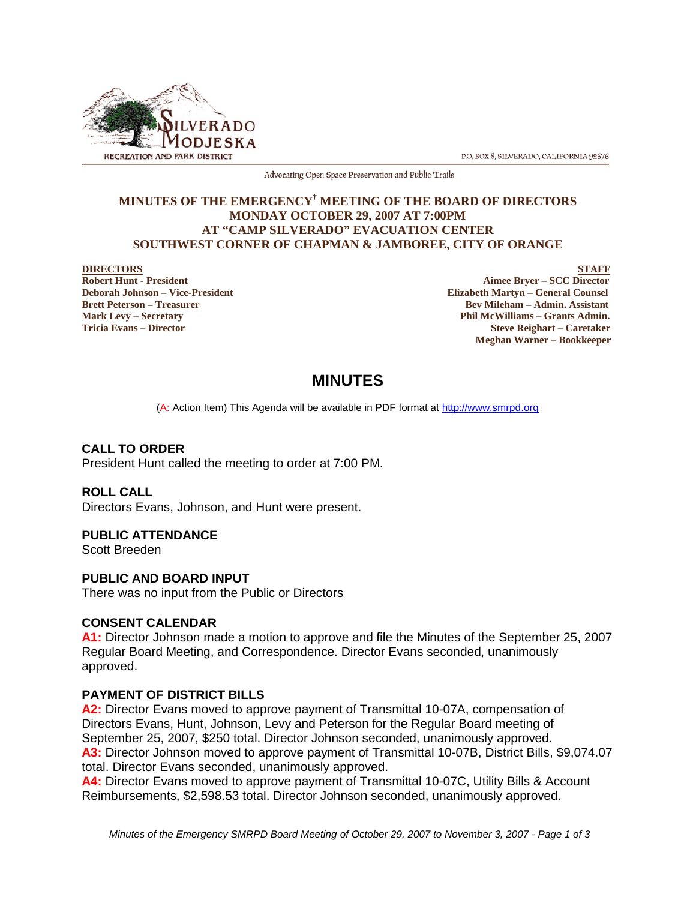

P.O. BOX 8, SILVERADO, CALIFORNIA 92676

Advocating Open Space Preservation and Public Trails

#### **MINUTES OF THE EMERGENCY† MEETING OF THE BOARD OF DIRECTORS MONDAY OCTOBER 29, 2007 AT 7:00PM AT "CAMP SILVERADO" EVACUATION CENTER SOUTHWEST CORNER OF CHAPMAN & JAMBOREE, CITY OF ORANGE**

**DIRECTORS** STAFF<br>
Robert Hunt - President Aimee Bryer – SCC Director<br>
Aimee Bryer – SCC Director **Aimee Bryer – SCC Director Deborah Johnson – Vice-President Elizabeth Martyn – General Counsel Brett Peterson – Treasurer Sexual Assistant** Bev Mileham – Admin. Assistant **Mark Levy – Secretary Phil McWilliams – Grants Admin. Tricia Evans – Director Steve Reighart – Caretaker Meghan Warner – Bookkeeper**

# **MINUTES**

(A: Action Item) This Agenda will be available in PDF format at http://www.smrpd.org

# **CALL TO ORDER**

President Hunt called the meeting to order at 7:00 PM.

#### **ROLL CALL**

Directors Evans, Johnson, and Hunt were present.

# **PUBLIC ATTENDANCE**

Scott Breeden

# **PUBLIC AND BOARD INPUT**

There was no input from the Public or Directors

# **CONSENT CALENDAR**

**A1:** Director Johnson made a motion to approve and file the Minutes of the September 25, 2007 Regular Board Meeting, and Correspondence. Director Evans seconded, unanimously approved.

# **PAYMENT OF DISTRICT BILLS**

**A2:** Director Evans moved to approve payment of Transmittal 10-07A, compensation of Directors Evans, Hunt, Johnson, Levy and Peterson for the Regular Board meeting of September 25, 2007, \$250 total. Director Johnson seconded, unanimously approved. **A3:** Director Johnson moved to approve payment of Transmittal 10-07B, District Bills, \$9,074.07 total. Director Evans seconded, unanimously approved.

**A4:** Director Evans moved to approve payment of Transmittal 10-07C, Utility Bills & Account Reimbursements, \$2,598.53 total. Director Johnson seconded, unanimously approved.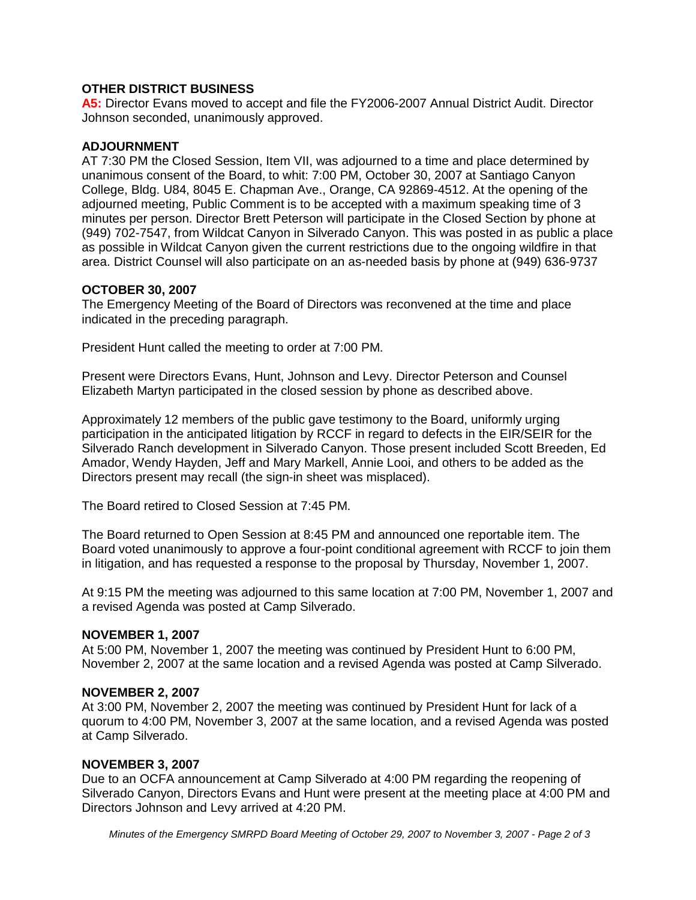## **OTHER DISTRICT BUSINESS**

**A5:** Director Evans moved to accept and file the FY2006-2007 Annual District Audit. Director Johnson seconded, unanimously approved.

### **ADJOURNMENT**

AT 7:30 PM the Closed Session, Item VII, was adjourned to a time and place determined by unanimous consent of the Board, to whit: 7:00 PM, October 30, 2007 at Santiago Canyon College, Bldg. U84, 8045 E. Chapman Ave., Orange, CA 92869-4512. At the opening of the adjourned meeting, Public Comment is to be accepted with a maximum speaking time of 3 minutes per person. Director Brett Peterson will participate in the Closed Section by phone at (949) 702-7547, from Wildcat Canyon in Silverado Canyon. This was posted in as public a place as possible in Wildcat Canyon given the current restrictions due to the ongoing wildfire in that area. District Counsel will also participate on an as-needed basis by phone at (949) 636-9737

#### **OCTOBER 30, 2007**

The Emergency Meeting of the Board of Directors was reconvened at the time and place indicated in the preceding paragraph.

President Hunt called the meeting to order at 7:00 PM.

Present were Directors Evans, Hunt, Johnson and Levy. Director Peterson and Counsel Elizabeth Martyn participated in the closed session by phone as described above.

Approximately 12 members of the public gave testimony to the Board, uniformly urging participation in the anticipated litigation by RCCF in regard to defects in the EIR/SEIR for the Silverado Ranch development in Silverado Canyon. Those present included Scott Breeden, Ed Amador, Wendy Hayden, Jeff and Mary Markell, Annie Looi, and others to be added as the Directors present may recall (the sign-in sheet was misplaced).

The Board retired to Closed Session at 7:45 PM.

The Board returned to Open Session at 8:45 PM and announced one reportable item. The Board voted unanimously to approve a four-point conditional agreement with RCCF to join them in litigation, and has requested a response to the proposal by Thursday, November 1, 2007.

At 9:15 PM the meeting was adjourned to this same location at 7:00 PM, November 1, 2007 and a revised Agenda was posted at Camp Silverado.

#### **NOVEMBER 1, 2007**

At 5:00 PM, November 1, 2007 the meeting was continued by President Hunt to 6:00 PM, November 2, 2007 at the same location and a revised Agenda was posted at Camp Silverado.

#### **NOVEMBER 2, 2007**

At 3:00 PM, November 2, 2007 the meeting was continued by President Hunt for lack of a quorum to 4:00 PM, November 3, 2007 at the same location, and a revised Agenda was posted at Camp Silverado.

#### **NOVEMBER 3, 2007**

Due to an OCFA announcement at Camp Silverado at 4:00 PM regarding the reopening of Silverado Canyon, Directors Evans and Hunt were present at the meeting place at 4:00 PM and Directors Johnson and Levy arrived at 4:20 PM.